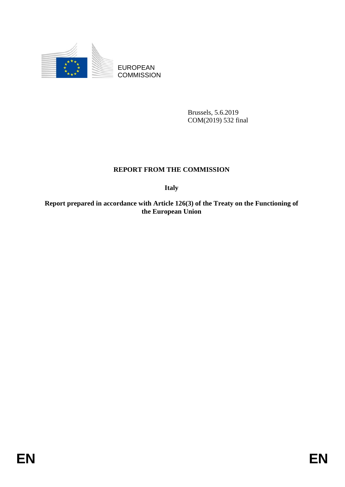

EUROPEAN **COMMISSION** 

> Brussels, 5.6.2019 COM(2019) 532 final

# **REPORT FROM THE COMMISSION**

**Italy**

**Report prepared in accordance with Article 126(3) of the Treaty on the Functioning of the European Union**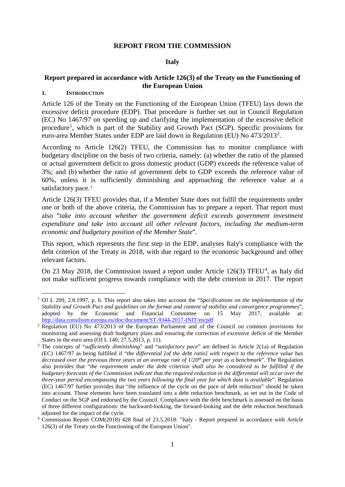#### **REPORT FROM THE COMMISSION**

#### **Italy**

# **Report prepared in accordance with Article 126(3) of the Treaty on the Functioning of the European Union**

# **1. INTRODUCTION**

Article 126 of the Treaty on the Functioning of the European Union (TFEU) lays down the excessive deficit procedure (EDP). That procedure is further set out in Council Regulation (EC) No 1467/97 on speeding up and clarifying the implementation of the excessive deficit procedure<sup>[1](#page-1-0)</sup>, which is part of the Stability and Growth Pact (SGP). Specific provisions for euro-area Member States under EDP are laid down in Regulation (EU) No 473/[2](#page-1-1)013<sup>2</sup>.

According to Article 126(2) TFEU, the Commission has to monitor compliance with budgetary discipline on the basis of two criteria, namely: (a) whether the ratio of the planned or actual government deficit to gross domestic product (GDP) exceeds the reference value of 3%; and (b) whether the ratio of government debt to GDP exceeds the reference value of 60%, unless it is sufficiently diminishing and approaching the reference value at a satisfactory pace.<sup>[3](#page-1-2)</sup>

Article 126(3) TFEU provides that, if a Member State does not fulfil the requirements under one or both of the above criteria, the Commission has to prepare a report. That report must also "take into account whether the government deficit exceeds government investment *expenditure and take into account all other relevant factors, including the medium-term economic and budgetary position of the Member State*".

This report, which represents the first step in the EDP, analyses Italy's compliance with the debt criterion of the Treaty in 2018, with due regard to the economic background and other relevant factors.

On 23 May 2018, the Commission issued a report under Article  $126(3)$  TFEU<sup>[4](#page-1-3)</sup>, as Italy did not make sufficient progress towards compliance with the debt criterion in 2017. The report

<span id="page-1-0"></span> <sup>1</sup> OJ L 209, 2.8.1997, p. 6. This report also takes into account the "*Specifications on the implementation of the Stability and Growth Pact and guidelines on the format and content of stability and convergence programmes*", adopted by the Economic and Financial Committee on 15 May 2017, available at: <http://data.consilium.europa.eu/doc/document/ST-9344-2017-INIT/en/pdf>

<span id="page-1-1"></span><sup>&</sup>lt;sup>2</sup> Regulation (EU) No 473/2013 of the European Parliament and of the Council on common provisions for monitoring and assessing draft budgetary plans and ensuring the correction of excessive deficit of the Member States in the euro area (OJ L 140, 27.5.2013, p. 11).

<span id="page-1-2"></span><sup>3</sup> The concepts of "*sufficiently diminishing*" and "*satisfactory pace*" are defined in Article 2(1a) of Regulation (EC) 1467/97 as being fulfilled if "*the differential [of the debt ratio] with respect to the reference value has decreased over the previous three years at an average rate of 1/20th per year as a benchmark*". The Regulation also provides that "*the requirement under the debt criterion shall also be considered to be fulfilled if the budgetary forecasts of the Commission indicate that the required reduction in the differential will occur over the three-year period encompassing the two years following the final year for which data is available*". Regulation (EC) 1467/97 further provides that "the influence of the cycle on the pace of debt reduction" should be taken into account. Those elements have been translated into a debt reduction benchmark, as set out in the Code of Conduct on the SGP and endorsed by the Council. Compliance with the debt benchmark is assessed on the basis of three different configurations: the backward-looking, the forward-looking and the debt reduction benchmark adjusted for the impact of the cycle.

<span id="page-1-3"></span><sup>4</sup> Commission Report COM(2018) 428 final of 23.5.2018: "Italy - Report prepared in accordance with Article 126(3) of the Treaty on the Functioning of the European Union".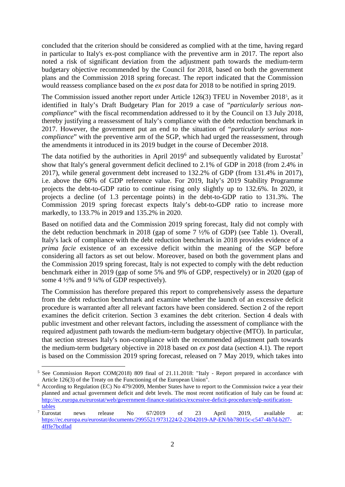concluded that the criterion should be considered as complied with at the time, having regard in particular to Italy's ex-post compliance with the preventive arm in 2017. The report also noted a risk of significant deviation from the adjustment path towards the medium-term budgetary objective recommended by the Council for 2018, based on both the government plans and the Commission 2018 spring forecast. The report indicated that the Commission would reassess compliance based on the *ex post* data for 2018 to be notified in spring 2019.

The Commission issued another report under Article 126(3) TFEU in November 2018[5](#page-2-0) , as it identified in Italy's Draft Budgetary Plan for 2019 a case of "*particularly serious noncompliance*" with the fiscal recommendation addressed to it by the Council on 13 July 2018, thereby justifying a reassessment of Italy's compliance with the debt reduction benchmark in 2017. However, the government put an end to the situation of "*particularly serious noncompliance*" with the preventive arm of the SGP, which had urged the reassessment, through the amendments it introduced in its 2019 budget in the course of December 2018.

The data notified by the authorities in April 2019<sup>[6](#page-2-1)</sup> and subsequently validated by Eurostat<sup>[7](#page-2-2)</sup> show that Italy's general government deficit declined to 2.1% of GDP in 2018 (from 2.4% in 2017), while general government debt increased to 132.2% of GDP (from 131.4% in 2017), i.e. above the 60% of GDP reference value. For 2019, Italy's 2019 Stability Programme projects the debt-to-GDP ratio to continue rising only slightly up to 132.6%. In 2020, it projects a decline (of 1.3 percentage points) in the debt-to-GDP ratio to 131.3%. The Commission 2019 spring forecast expects Italy's debt-to-GDP ratio to increase more markedly, to 133.7% in 2019 and 135.2% in 2020.

Based on notified data and the Commission 2019 spring forecast, Italy did not comply with the debt reduction benchmark in 2018 (gap of some 7 ½% of GDP) (see Table 1). Overall, Italy's lack of compliance with the debt reduction benchmark in 2018 provides evidence of a *prima facie* existence of an excessive deficit within the meaning of the SGP before considering all factors as set out below. Moreover, based on both the government plans and the Commission 2019 spring forecast, Italy is not expected to comply with the debt reduction benchmark either in 2019 (gap of some 5% and 9% of GDP, respectively) or in 2020 (gap of some 4 ½% and 9 ¼% of GDP respectively).

The Commission has therefore prepared this report to comprehensively assess the departure from the debt reduction benchmark and examine whether the launch of an excessive deficit procedure is warranted after all relevant factors have been considered. Section 2 of the report examines the deficit criterion. Section 3 examines the debt criterion. Section 4 deals with public investment and other relevant factors, including the assessment of compliance with the required adjustment path towards the medium-term budgetary objective (MTO). In particular, that section stresses Italy's non-compliance with the recommended adjustment path towards the medium-term budgetary objective in 2018 based on *ex post* data (section 4.1). The report is based on the Commission 2019 spring forecast, released on 7 May 2019, which takes into

<span id="page-2-0"></span><sup>&</sup>lt;sup>5</sup> See Commission Report COM(2018) 809 final of 21.11.2018: "Italy - Report prepared in accordance with Article 126(3) of the Treaty on the Functioning of the European Union".

<span id="page-2-1"></span><sup>6</sup> According to Regulation (EC) No 479/2009, Member States have to report to the Commission twice a year their planned and actual government deficit and debt levels. The most recent notification of Italy can be found at: [http://ec.europa.eu/eurostat/web/government-finance-statistics/excessive-deficit-procedure/edp-notification](http://ec.europa.eu/eurostat/web/government-finance-statistics/excessive-deficit-procedure/edp-notification-tables)[tables](http://ec.europa.eu/eurostat/web/government-finance-statistics/excessive-deficit-procedure/edp-notification-tables)

<span id="page-2-2"></span><sup>&</sup>lt;sup>7</sup> Eurostat news release No  $67/2019$  of 23 April 2019, available at: [https://ec.europa.eu/eurostat/documents/2995521/9731224/2-23042019-AP-EN/bb78015c-c547-4b7d-b2f7-](https://ec.europa.eu/eurostat/documents/2995521/9731224/2-23042019-AP-EN/bb78015c-c547-4b7d-b2f7-4fffe7bcdfad) [4fffe7bcdfad](https://ec.europa.eu/eurostat/documents/2995521/9731224/2-23042019-AP-EN/bb78015c-c547-4b7d-b2f7-4fffe7bcdfad)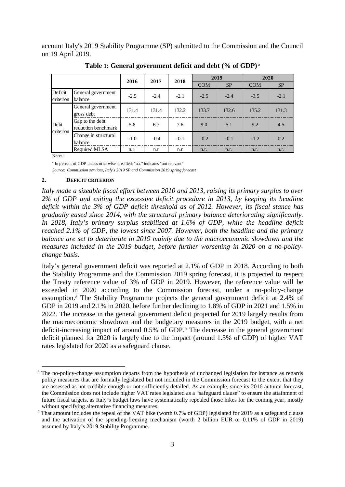account Italy's 2019 Stability Programme (SP) submitted to the Commission and the Council on 19 April 2019.

|                      |                                        | 2016   | 2017   | 2018   | 2019       |           | 2020       |           |
|----------------------|----------------------------------------|--------|--------|--------|------------|-----------|------------|-----------|
|                      |                                        |        |        |        | <b>COM</b> | <b>SP</b> | <b>COM</b> | <b>SP</b> |
| Deficit<br>criterion | General government<br>balance          | $-2.5$ | $-2.4$ | $-2.1$ | $-2.5$     | $-2.4$    | $-3.5$     | $-2.1$    |
| Debt<br>criterion    | General government<br>gross debt       | 131.4  | 131.4  | 132.2  | 133.7      | 132.6     | 135.2      | 131.3     |
|                      | Gap to the debt<br>reduction benchmark | 5.8    | 6.7    | 7.6    | 9.0        | 5.1       | 9.2        | 4.5       |
|                      | Change in structural<br>balance        | $-1.0$ | $-0.4$ | $-0.1$ | $-0.2$     | $-0.1$    | $-1.2$     | 0.2       |
|                      | Required MLSA                          | n.r.   | n.r    | n.r    | n.r.       | n.r.      | n.r.       | n.r.      |

**Table 1: General government deficit and debt (% of GDP)** <sup>a</sup>

Notes:

<sup>a</sup> In percent of GDP unless otherwise specified; "n.r." indicates "not relevant"

*Source: Commission services, Italy's 2019 SP and Commission 2019 spring forecast*

#### **2. DEFICIT CRITERION**

*Italy made a sizeable fiscal effort between 2010 and 2013, raising its primary surplus to over 2% of GDP and exiting the excessive deficit procedure in 2013, by keeping its headline deficit within the 3% of GDP deficit threshold as of 2012. However, its fiscal stance has gradually eased since 2014, with the structural primary balance deteriorating significantly. In 2018, Italy's primary surplus stabilised at 1.6% of GDP, while the headline deficit reached 2.1% of GDP, the lowest since 2007. However, both the headline and the primary balance are set to deteriorate in 2019 mainly due to the macroeconomic slowdown and the measures included in the 2019 budget, before further worsening in 2020 on a no-policychange basis.* 

Italy's general government deficit was reported at 2.1% of GDP in 2018. According to both the Stability Programme and the Commission 2019 spring forecast, it is projected to respect the Treaty reference value of 3% of GDP in 2019. However, the reference value will be exceeded in 2020 according to the Commission forecast, under a no-policy-change assumption.[8](#page-3-0) The Stability Programme projects the general government deficit at 2.4% of GDP in 2019 and 2.1% in 2020, before further declining to 1.8% of GDP in 2021 and 1.5% in 2022. The increase in the general government deficit projected for 2019 largely results from the macroeconomic slowdown and the budgetary measures in the 2019 budget, with a net deficit-increasing impact of around 0.5% of GDP.<sup>[9](#page-3-1)</sup> The decrease in the general government deficit planned for 2020 is largely due to the impact (around 1.3% of GDP) of higher VAT rates legislated for 2020 as a safeguard clause.

<span id="page-3-0"></span><sup>&</sup>lt;sup>8</sup> The no-policy-change assumption departs from the hypothesis of unchanged legislation for instance as regards policy measures that are formally legislated but not included in the Commission forecast to the extent that they are assessed as not credible enough or not sufficiently detailed. As an example, since its 2016 autumn forecast, the Commission does not include higher VAT rates legislated as a "safeguard clause" to ensure the attainment of future fiscal targets, as Italy's budget laws have systematically repealed those hikes for the coming year, mostly without specifying alternative financing measures.

<span id="page-3-1"></span><sup>9</sup> That amount includes the repeal of the VAT hike (worth 0.7% of GDP) legislated for 2019 as a safeguard clause and the activation of the spending-freezing mechanism (worth 2 billion EUR or 0.11% of GDP in 2019) assumed by Italy's 2019 Stability Programme.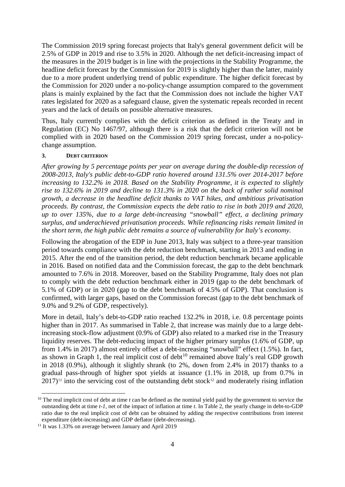The Commission 2019 spring forecast projects that Italy's general government deficit will be 2.5% of GDP in 2019 and rise to 3.5% in 2020. Although the net deficit-increasing impact of the measures in the 2019 budget is in line with the projections in the Stability Programme, the headline deficit forecast by the Commission for 2019 is slightly higher than the latter, mainly due to a more prudent underlying trend of public expenditure. The higher deficit forecast by the Commission for 2020 under a no-policy-change assumption compared to the government plans is mainly explained by the fact that the Commission does not include the higher VAT rates legislated for 2020 as a safeguard clause, given the systematic repeals recorded in recent years and the lack of details on possible alternative measures.

Thus, Italy currently complies with the deficit criterion as defined in the Treaty and in Regulation (EC) No 1467/97, although there is a risk that the deficit criterion will not be complied with in 2020 based on the Commission 2019 spring forecast, under a no-policychange assumption.

## **3. DEBT CRITERION**

*After growing by 5 percentage points per year on average during the double-dip recession of 2008-2013, Italy's public debt-to-GDP ratio hovered around 131.5% over 2014-2017 before increasing to 132.2% in 2018. Based on the Stability Programme, it is expected to slightly rise to 132.6% in 2019 and decline to 131.3% in 2020 on the back of rather solid nominal growth, a decrease in the headline deficit thanks to VAT hikes, and ambitious privatisation proceeds. By contrast, the Commission expects the debt ratio to rise in both 2019 and 2020, up to over 135%, due to a large debt-increasing "snowball" effect, a declining primary surplus, and underachieved privatisation proceeds. While refinancing risks remain limited in the short term, the high public debt remains a source of vulnerability for Italy's economy.*

Following the abrogation of the EDP in June 2013, Italy was subject to a three-year transition period towards compliance with the debt reduction benchmark, starting in 2013 and ending in 2015. After the end of the transition period, the debt reduction benchmark became applicable in 2016. Based on notified data and the Commission forecast, the gap to the debt benchmark amounted to 7.6% in 2018. Moreover, based on the Stability Programme, Italy does not plan to comply with the debt reduction benchmark either in 2019 (gap to the debt benchmark of 5.1% of GDP) or in 2020 (gap to the debt benchmark of 4.5% of GDP). That conclusion is confirmed, with larger gaps, based on the Commission forecast (gap to the debt benchmark of 9.0% and 9.2% of GDP, respectively).

More in detail, Italy's debt-to-GDP ratio reached 132.2% in 2018, i.e. 0.8 percentage points higher than in 2017. As summarised in Table 2, that increase was mainly due to a large debtincreasing stock-flow adjustment (0.9% of GDP) also related to a marked rise in the Treasury liquidity reserves. The debt-reducing impact of the higher primary surplus (1.6% of GDP, up from 1.4% in 2017) almost entirely offset a debt-increasing "snowball" effect (1.5%). In fact, as shown in Graph 1, the real implicit cost of debt<sup>[10](#page-4-0)</sup> remained above Italy's real GDP growth in 2018 (0.9%), although it slightly shrank (to 2%, down from 2.4% in 2017) thanks to a gradual pass-through of higher spot yields at issuance (1.1% in 2018, up from 0.7% in  $2017$ <sup>[11](#page-4-1)</sup> into the servicing cost of the outstanding debt stock<sup>[12](#page-4-1)</sup> and moderately rising inflation

<span id="page-4-0"></span><sup>&</sup>lt;sup>10</sup> The real implicit cost of debt at time  $t$  can be defined as the nominal yield paid by the government to service the outstanding debt at time *t-1*, net of the impact of inflation at time *t*. In Table 2, the yearly change in debt-to-GDP ratio due to the real implicit cost of debt can be obtained by adding the respective contributions from interest expenditure (debt-increasing) and GDP deflator (debt-decreasing).

<span id="page-4-1"></span><sup>&</sup>lt;sup>11</sup> It was 1.33% on average between January and April 2019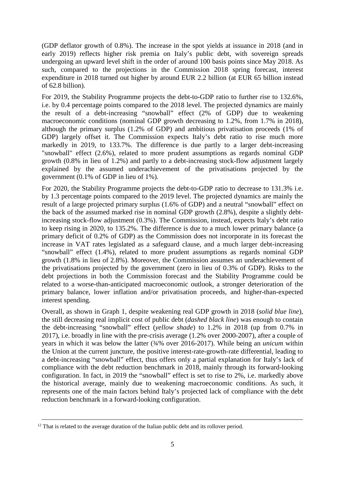(GDP deflator growth of 0.8%). The increase in the spot yields at issuance in 2018 (and in early 2019) reflects higher risk premia on Italy's public debt, with sovereign spreads undergoing an upward level shift in the order of around 100 basis points since May 2018. As such, compared to the projections in the Commission 2018 spring forecast, interest expenditure in 2018 turned out higher by around EUR 2.2 billion (at EUR 65 billion instead of 62.8 billion).

For 2019, the Stability Programme projects the debt-to-GDP ratio to further rise to 132.6%, i.e. by 0.4 percentage points compared to the 2018 level. The projected dynamics are mainly the result of a debt-increasing "snowball" effect (2% of GDP) due to weakening macroeconomic conditions (nominal GDP growth decreasing to 1.2%, from 1.7% in 2018), although the primary surplus (1.2% of GDP) and ambitious privatisation proceeds (1% of GDP) largely offset it. The Commission expects Italy's debt ratio to rise much more markedly in 2019, to 133.7%. The difference is due partly to a larger debt-increasing "snowball" effect (2.6%), related to more prudent assumptions as regards nominal GDP growth (0.8% in lieu of 1.2%) and partly to a debt-increasing stock-flow adjustment largely explained by the assumed underachievement of the privatisations projected by the government (0.1% of GDP in lieu of 1%).

For 2020, the Stability Programme projects the debt-to-GDP ratio to decrease to 131.3% i.e. by 1.3 percentage points compared to the 2019 level. The projected dynamics are mainly the result of a large projected primary surplus (1.6% of GDP) and a neutral "snowball" effect on the back of the assumed marked rise in nominal GDP growth (2.8%), despite a slightly debtincreasing stock-flow adjustment (0.3%). The Commission, instead, expects Italy's debt ratio to keep rising in 2020, to 135.2%. The difference is due to a much lower primary balance (a primary deficit of 0.2% of GDP) as the Commission does not incorporate in its forecast the increase in VAT rates legislated as a safeguard clause, and a much larger debt-increasing "snowball" effect (1.4%), related to more prudent assumptions as regards nominal GDP growth (1.8% in lieu of 2.8%). Moreover, the Commission assumes an underachievement of the privatisations projected by the government (zero in lieu of 0.3% of GDP). Risks to the debt projections in both the Commission forecast and the Stability Programme could be related to a worse-than-anticipated macroeconomic outlook, a stronger deterioration of the primary balance, lower inflation and/or privatisation proceeds, and higher-than-expected interest spending.

Overall, as shown in Graph 1, despite weakening real GDP growth in 2018 (*solid blue line*), the still decreasing real implicit cost of public debt (*dashed black line*) was enough to contain the debt-increasing "snowball" effect (*yellow shade*) to 1.2% in 2018 (up from 0.7% in 2017), i.e. broadly in line with the pre-crisis average (1.2% over 2000-2007), after a couple of years in which it was below the latter (¾% over 2016-2017). While being an *unicum* within the Union at the current juncture, the positive interest-rate-growth-rate differential, leading to a debt-increasing "snowball" effect, thus offers only a partial explanation for Italy's lack of compliance with the debt reduction benchmark in 2018, mainly through its forward-looking configuration. In fact, in 2019 the "snowball" effect is set to rise to 2%, i.e. markedly above the historical average, mainly due to weakening macroeconomic conditions. As such, it represents one of the main factors behind Italy's projected lack of compliance with the debt reduction benchmark in a forward-looking configuration.

 $12$  That is related to the average duration of the Italian public debt and its rollover period.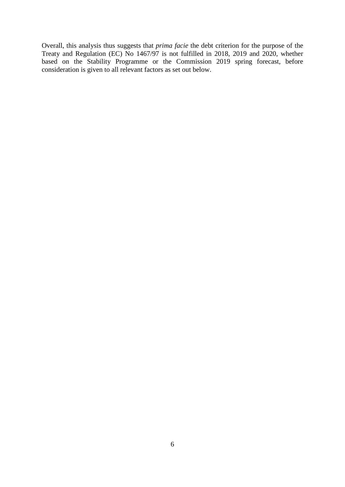Overall, this analysis thus suggests that *prima facie* the debt criterion for the purpose of the Treaty and Regulation (EC) No 1467/97 is not fulfilled in 2018, 2019 and 2020, whether based on the Stability Programme or the Commission 2019 spring forecast, before consideration is given to all relevant factors as set out below.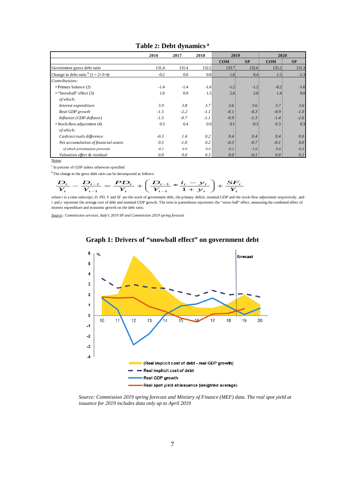|                                      | 2016   | 2017   | 2018             | 2019             |                  | 2020       |        |
|--------------------------------------|--------|--------|------------------|------------------|------------------|------------|--------|
|                                      |        |        |                  | <b>COM</b>       | SP               | <b>COM</b> | SP     |
| Government gross debt ratio          | 131.4  | 131.4  | 132.2:           | 133.7            | 132.6            | 135.2:     | 131.3  |
| Change in debt ratio $(1 = 2+3+4)$   | $-0.2$ | 0.0    | 0.8 <sub>1</sub> | 1.6 <sub>1</sub> | 0.4 <sub>3</sub> | 1.5        | $-1.3$ |
| Contributions:                       |        |        |                  |                  |                  |            |        |
| • Primary balance (2)                | $-1.4$ | $-1.4$ | $-1.6$           | $-1.23$          | $-1.21$          | $-0.2$     | $-1.6$ |
| $\cdot$ "Snowball" effect (3)        | 1.0    | 0.9    | 1.5              | 2.6              | 2.01             | 1.4.       | 0.0    |
| of which:                            |        |        |                  |                  |                  |            |        |
| Interest expenditure                 | 3.9    | 3.8    | 3.7 <sup>1</sup> | 3.6 <sup>3</sup> | 3.6              | 3.7:       | 3.6    |
| Real GDP growth                      | $-1.5$ | $-2.2$ | $-1.1$           | $-0.1$           | $-0.3$           | $-0.9$     | $-1.0$ |
| Inflation (GDP deflator)             | $-1.5$ | $-0.7$ | $-1.1$           | $-0.9$           | $-1.3$           | $-1.4$     | $-2.6$ |
| • Stock-flow adjustment (4)          | 0.3    | 0.4    | 0.9 <sub>1</sub> | 0.13             | $-0.35$          | 0.3:       | 0.3    |
| of which:                            |        |        |                  |                  |                  |            |        |
| Cash/accruals difference             | $-0.3$ | 1.4    | 0.2              | 0.4              | 0.4              | 0.4        | 0.0    |
| Net accumulation of financial assets | 0.5    | $-1.0$ | 0.2:             | $-0.3$           | $-0.7$           | $-0.1$     | 0.0    |
| of which privatisation proceeds      | $-0.1$ | 0.0    | $0.0$ :          | $-0.1$           | $-1.0$           | 0.0        | $-0.3$ |
| Valuation effect & residual          | 0.0    | 0.0    | 0.3:             | 0.0              | $-0.1$           | 0.0:       | 0.2    |

# **Table 2: Debt dynamics <sup>a</sup>**

Notes:

<sup>a</sup> In percent of GDP unless otherwise specified

$$
{}^{b}
$$
The change in the gross debt ratio can be decomposed as follows:  

$$
\frac{D_t}{Y_t} - \frac{D_{t-1}}{Y_{t-1}} = \frac{PD_t}{Y_t} + \left(\frac{D_{t-1}}{Y_{t-1}} \neq \frac{i_t - y_t}{1 + y_t}\right) + \frac{SF_t}{Y_t}
$$

where t is a time subscript; *D, PD, Y* and *SF* are the stock of government debt, the primary deficit, nominal GDP and the stock-flow adjustment respectively, and *i* and *y* represent the average cost of debt and nominal GDP growth. The term in parentheses represents the "snow-ball" effect, measuring the combined effect of interest expenditure and economic growth on the debt ratio.

*Source : Commission services, Italy's 2019 SP and Commission 2019 spring forecast*



# **Graph 1: Drivers of "snowball effect" on government debt**

*Source: Commission 2019 spring forecast and Ministry of Finance (MEF) data. The real spot yield at issuance for 2019 includes data only up to April 2019*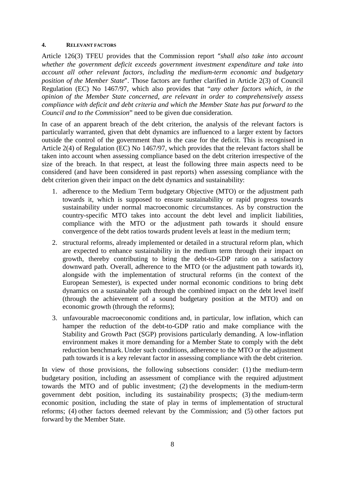#### **4. RELEVANT FACTORS**

Article 126(3) TFEU provides that the Commission report "*shall also take into account whether the government deficit exceeds government investment expenditure and take into account all other relevant factors, including the medium-term economic and budgetary position of the Member State*". Those factors are further clarified in Article 2(3) of Council Regulation (EC) No 1467/97, which also provides that "*any other factors which, in the opinion of the Member State concerned, are relevant in order to comprehensively assess compliance with deficit and debt criteria and which the Member State has put forward to the Council and to the Commission*" need to be given due consideration.

In case of an apparent breach of the debt criterion, the analysis of the relevant factors is particularly warranted, given that debt dynamics are influenced to a larger extent by factors outside the control of the government than is the case for the deficit. This is recognised in Article 2(4) of Regulation (EC) No 1467/97, which provides that the relevant factors shall be taken into account when assessing compliance based on the debt criterion irrespective of the size of the breach. In that respect, at least the following three main aspects need to be considered (and have been considered in past reports) when assessing compliance with the debt criterion given their impact on the debt dynamics and sustainability:

- 1. adherence to the Medium Term budgetary Objective (MTO) or the adjustment path towards it, which is supposed to ensure sustainability or rapid progress towards sustainability under normal macroeconomic circumstances. As by construction the country-specific MTO takes into account the debt level and implicit liabilities, compliance with the MTO or the adjustment path towards it should ensure convergence of the debt ratios towards prudent levels at least in the medium term;
- 2. structural reforms, already implemented or detailed in a structural reform plan, which are expected to enhance sustainability in the medium term through their impact on growth, thereby contributing to bring the debt-to-GDP ratio on a satisfactory downward path. Overall, adherence to the MTO (or the adjustment path towards it), alongside with the implementation of structural reforms (in the context of the European Semester), is expected under normal economic conditions to bring debt dynamics on a sustainable path through the combined impact on the debt level itself (through the achievement of a sound budgetary position at the MTO) and on economic growth (through the reforms);
- 3. unfavourable macroeconomic conditions and, in particular, low inflation, which can hamper the reduction of the debt-to-GDP ratio and make compliance with the Stability and Growth Pact (SGP) provisions particularly demanding. A low-inflation environment makes it more demanding for a Member State to comply with the debt reduction benchmark. Under such conditions, adherence to the MTO or the adjustment path towards it is a key relevant factor in assessing compliance with the debt criterion.

In view of those provisions, the following subsections consider: (1) the medium-term budgetary position, including an assessment of compliance with the required adjustment towards the MTO and of public investment; (2) the developments in the medium-term government debt position, including its sustainability prospects; (3) the medium-term economic position, including the state of play in terms of implementation of structural reforms; (4) other factors deemed relevant by the Commission; and (5) other factors put forward by the Member State.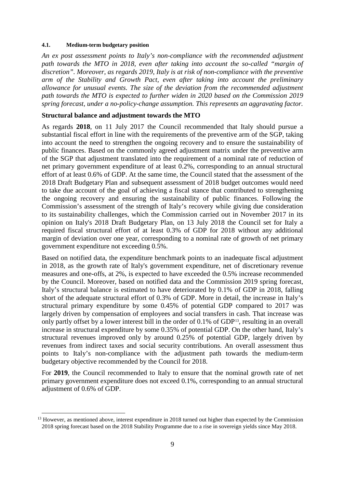#### **4.1. Medium-term budgetary position**

*An ex post assessment points to Italy's non-compliance with the recommended adjustment path towards the MTO in 2018, even after taking into account the so-called "margin of discretion". Moreover, as regards 2019, Italy is at risk of non-compliance with the preventive arm of the Stability and Growth Pact, even after taking into account the preliminary allowance for unusual events. The size of the deviation from the recommended adjustment path towards the MTO is expected to further widen in 2020 based on the Commission 2019 spring forecast, under a no-policy-change assumption. This represents an aggravating factor.* 

## **Structural balance and adjustment towards the MTO**

As regards **2018**, on 11 July 2017 the Council recommended that Italy should pursue a substantial fiscal effort in line with the requirements of the preventive arm of the SGP, taking into account the need to strengthen the ongoing recovery and to ensure the sustainability of public finances. Based on the commonly agreed adjustment matrix under the preventive arm of the SGP that adjustment translated into the requirement of a nominal rate of reduction of net primary government expenditure of at least 0.2%, corresponding to an annual structural effort of at least 0.6% of GDP. At the same time, the Council stated that the assessment of the 2018 Draft Budgetary Plan and subsequent assessment of 2018 budget outcomes would need to take due account of the goal of achieving a fiscal stance that contributed to strengthening the ongoing recovery and ensuring the sustainability of public finances. Following the Commission's assessment of the strength of Italy's recovery while giving due consideration to its sustainability challenges, which the Commission carried out in November 2017 in its opinion on Italy's 2018 Draft Budgetary Plan, on 13 July 2018 the Council set for Italy a required fiscal structural effort of at least 0.3% of GDP for 2018 without any additional margin of deviation over one year, corresponding to a nominal rate of growth of net primary government expenditure not exceeding 0.5%.

Based on notified data, the expenditure benchmark points to an inadequate fiscal adjustment in 2018, as the growth rate of Italy's government expenditure, net of discretionary revenue measures and one-offs, at 2%, is expected to have exceeded the 0.5% increase recommended by the Council. Moreover, based on notified data and the Commission 2019 spring forecast, Italy's structural balance is estimated to have deteriorated by 0.1% of GDP in 2018, falling short of the adequate structural effort of 0.3% of GDP. More in detail, the increase in Italy's structural primary expenditure by some 0.45% of potential GDP compared to 2017 was largely driven by compensation of employees and social transfers in cash. That increase was only partly offset by a lower interest bill in the order of 0.1% of GDP[13](#page-9-0), resulting in an overall increase in structural expenditure by some 0.35% of potential GDP. On the other hand, Italy's structural revenues improved only by around 0.25% of potential GDP, largely driven by revenues from indirect taxes and social security contributions. An overall assessment thus points to Italy's non-compliance with the adjustment path towards the medium-term budgetary objective recommended by the Council for 2018.

For **2019**, the Council recommended to Italy to ensure that the nominal growth rate of net primary government expenditure does not exceed 0.1%, corresponding to an annual structural adjustment of 0.6% of GDP.

<span id="page-9-0"></span><sup>&</sup>lt;sup>13</sup> However, as mentioned above, interest expenditure in 2018 turned out higher than expected by the Commission 2018 spring forecast based on the 2018 Stability Programme due to a rise in sovereign yields since May 2018.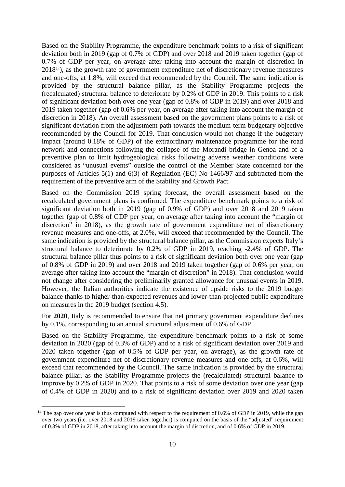Based on the Stability Programme, the expenditure benchmark points to a risk of significant deviation both in 2019 (gap of 0.7% of GDP) and over 2018 and 2019 taken together (gap of 0.7% of GDP per year, on average after taking into account the margin of discretion in 2018[14\)](#page-10-0), as the growth rate of government expenditure net of discretionary revenue measures and one-offs, at 1.8%, will exceed that recommended by the Council. The same indication is provided by the structural balance pillar, as the Stability Programme projects the (recalculated) structural balance to deteriorate by 0.2% of GDP in 2019. This points to a risk of significant deviation both over one year (gap of 0.8% of GDP in 2019) and over 2018 and 2019 taken together (gap of 0.6% per year, on average after taking into account the margin of discretion in 2018). An overall assessment based on the government plans points to a risk of significant deviation from the adjustment path towards the medium-term budgetary objective recommended by the Council for 2019. That conclusion would not change if the budgetary impact (around 0.18% of GDP) of the extraordinary maintenance programme for the road network and connections following the collapse of the Morandi bridge in Genoa and of a preventive plan to limit hydrogeological risks following adverse weather conditions were considered as "unusual events" outside the control of the Member State concerned for the purposes of Articles 5(1) and 6(3) of Regulation (EC) No 1466/97 and subtracted from the requirement of the preventive arm of the Stability and Growth Pact.

Based on the Commission 2019 spring forecast, the overall assessment based on the recalculated government plans is confirmed. The expenditure benchmark points to a risk of significant deviation both in 2019 (gap of 0.9% of GDP) and over 2018 and 2019 taken together (gap of 0.8% of GDP per year, on average after taking into account the "margin of discretion" in 2018), as the growth rate of government expenditure net of discretionary revenue measures and one-offs, at 2.0%, will exceed that recommended by the Council. The same indication is provided by the structural balance pillar, as the Commission expects Italy's structural balance to deteriorate by 0.2% of GDP in 2019, reaching -2.4% of GDP. The structural balance pillar thus points to a risk of significant deviation both over one year (gap of 0.8% of GDP in 2019) and over 2018 and 2019 taken together (gap of 0.6% per year, on average after taking into account the "margin of discretion" in 2018). That conclusion would not change after considering the preliminarily granted allowance for unusual events in 2019. However, the Italian authorities indicate the existence of upside risks to the 2019 budget balance thanks to higher-than-expected revenues and lower-than-projected public expenditure on measures in the 2019 budget (section 4.5).

For **2020**, Italy is recommended to ensure that net primary government expenditure declines by 0.1%, corresponding to an annual structural adjustment of 0.6% of GDP.

Based on the Stability Programme, the expenditure benchmark points to a risk of some deviation in 2020 (gap of 0.3% of GDP) and to a risk of significant deviation over 2019 and 2020 taken together (gap of 0.5% of GDP per year, on average), as the growth rate of government expenditure net of discretionary revenue measures and one-offs, at 0.6%, will exceed that recommended by the Council. The same indication is provided by the structural balance pillar, as the Stability Programme projects the (recalculated) structural balance to improve by 0.2% of GDP in 2020. That points to a risk of some deviation over one year (gap of 0.4% of GDP in 2020) and to a risk of significant deviation over 2019 and 2020 taken

<span id="page-10-0"></span><sup>&</sup>lt;sup>14</sup> The gap over one year is thus computed with respect to the requirement of 0.6% of GDP in 2019, while the gap over two years (i.e. over 2018 and 2019 taken together) is computed on the basis of the "adjusted" requirement of 0.3% of GDP in 2018, after taking into account the margin of discretion, and of 0.6% of GDP in 2019.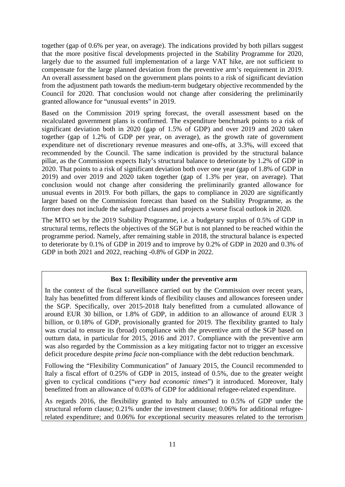together (gap of 0.6% per year, on average). The indications provided by both pillars suggest that the more positive fiscal developments projected in the Stability Programme for 2020, largely due to the assumed full implementation of a large VAT hike, are not sufficient to compensate for the large planned deviation from the preventive arm's requirement in 2019. An overall assessment based on the government plans points to a risk of significant deviation from the adjustment path towards the medium-term budgetary objective recommended by the Council for 2020. That conclusion would not change after considering the preliminarily granted allowance for "unusual events" in 2019.

Based on the Commission 2019 spring forecast, the overall assessment based on the recalculated government plans is confirmed. The expenditure benchmark points to a risk of significant deviation both in 2020 (gap of 1.5% of GDP) and over 2019 and 2020 taken together (gap of 1.2% of GDP per year, on average), as the growth rate of government expenditure net of discretionary revenue measures and one-offs, at 3.3%, will exceed that recommended by the Council. The same indication is provided by the structural balance pillar, as the Commission expects Italy's structural balance to deteriorate by 1.2% of GDP in 2020. That points to a risk of significant deviation both over one year (gap of 1.8% of GDP in 2019) and over 2019 and 2020 taken together (gap of 1.3% per year, on average). That conclusion would not change after considering the preliminarily granted allowance for unusual events in 2019. For both pillars, the gaps to compliance in 2020 are significantly larger based on the Commission forecast than based on the Stability Programme, as the former does not include the safeguard clauses and projects a worse fiscal outlook in 2020.

The MTO set by the 2019 Stability Programme, i.e. a budgetary surplus of 0.5% of GDP in structural terms, reflects the objectives of the SGP but is not planned to be reached within the programme period. Namely, after remaining stable in 2018, the structural balance is expected to deteriorate by 0.1% of GDP in 2019 and to improve by 0.2% of GDP in 2020 and 0.3% of GDP in both 2021 and 2022, reaching -0.8% of GDP in 2022.

### **Box 1: flexibility under the preventive arm**

In the context of the fiscal surveillance carried out by the Commission over recent years, Italy has benefitted from different kinds of flexibility clauses and allowances foreseen under the SGP. Specifically, over 2015-2018 Italy benefitted from a cumulated allowance of around EUR 30 billion, or 1.8% of GDP, in addition to an allowance of around EUR 3 billion, or 0.18% of GDP, provisionally granted for 2019. The flexibility granted to Italy was crucial to ensure its (broad) compliance with the preventive arm of the SGP based on outturn data, in particular for 2015, 2016 and 2017. Compliance with the preventive arm was also regarded by the Commission as a key mitigating factor not to trigger an excessive deficit procedure despite *prima facie* non-compliance with the debt reduction benchmark.

Following the "Flexibility Communication" of January 2015, the Council recommended to Italy a fiscal effort of 0.25% of GDP in 2015, instead of 0.5%, due to the greater weight given to cyclical conditions ("*very bad economic times*") it introduced. Moreover, Italy benefitted from an allowance of 0.03% of GDP for additional refugee-related expenditure.

As regards 2016, the flexibility granted to Italy amounted to 0.5% of GDP under the structural reform clause; 0.21% under the investment clause; 0.06% for additional refugeerelated expenditure; and 0.06% for exceptional security measures related to the terrorism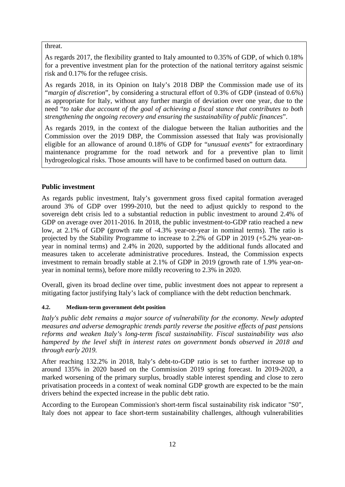# threat.

As regards 2017, the flexibility granted to Italy amounted to 0.35% of GDP, of which 0.18% for a preventive investment plan for the protection of the national territory against seismic risk and 0.17% for the refugee crisis.

As regards 2018, in its Opinion on Italy's 2018 DBP the Commission made use of its "*margin of discretion*", by considering a structural effort of 0.3% of GDP (instead of 0.6%) as appropriate for Italy, without any further margin of deviation over one year, due to the need "*to take due account of the goal of achieving a fiscal stance that contributes to both strengthening the ongoing recovery and ensuring the sustainability of public finances*".

As regards 2019, in the context of the dialogue between the Italian authorities and the Commission over the 2019 DBP, the Commission assessed that Italy was provisionally eligible for an allowance of around 0.18% of GDP for "*unusual events*" for extraordinary maintenance programme for the road network and for a preventive plan to limit hydrogeological risks. Those amounts will have to be confirmed based on outturn data.

# **Public investment**

As regards public investment, Italy's government gross fixed capital formation averaged around 3% of GDP over 1999-2010, but the need to adjust quickly to respond to the sovereign debt crisis led to a substantial reduction in public investment to around 2.4% of GDP on average over 2011-2016. In 2018, the public investment-to-GDP ratio reached a new low, at 2.1% of GDP (growth rate of -4.3% year-on-year in nominal terms). The ratio is projected by the Stability Programme to increase to 2.2% of GDP in 2019 (+5.2% year-onyear in nominal terms) and 2.4% in 2020, supported by the additional funds allocated and measures taken to accelerate administrative procedures. Instead, the Commission expects investment to remain broadly stable at 2.1% of GDP in 2019 (growth rate of 1.9% year-onyear in nominal terms), before more mildly recovering to 2.3% in 2020.

Overall, given its broad decline over time, public investment does not appear to represent a mitigating factor justifying Italy's lack of compliance with the debt reduction benchmark.

# **4.2. Medium-term government debt position**

*Italy's public debt remains a major source of vulnerability for the economy. Newly adopted measures and adverse demographic trends partly reverse the positive effects of past pensions reforms and weaken Italy's long-term fiscal sustainability. Fiscal sustainability was also hampered by the level shift in interest rates on government bonds observed in 2018 and through early 2019.*

After reaching 132.2% in 2018, Italy's debt-to-GDP ratio is set to further increase up to around 135% in 2020 based on the Commission 2019 spring forecast. In 2019-2020, a marked worsening of the primary surplus, broadly stable interest spending and close to zero privatisation proceeds in a context of weak nominal GDP growth are expected to be the main drivers behind the expected increase in the public debt ratio.

According to the European Commission's short-term fiscal sustainability risk indicator "S0", Italy does not appear to face short-term sustainability challenges, although vulnerabilities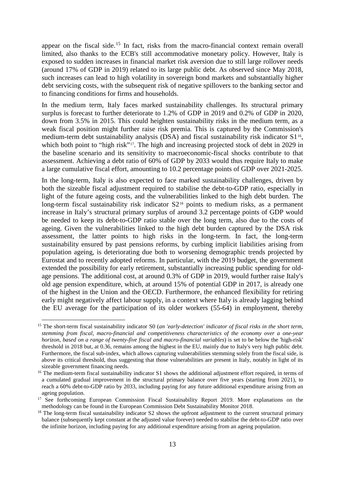appear on the fiscal side.<sup>[15](#page-13-0)</sup> In fact, risks from the macro-financial context remain overall limited, also thanks to the ECB's still accommodative monetary policy. However, Italy is exposed to sudden increases in financial market risk aversion due to still large rollover needs (around 17% of GDP in 2019) related to its large public debt. As observed since May 2018, such increases can lead to high volatility in sovereign bond markets and substantially higher debt servicing costs, with the subsequent risk of negative spillovers to the banking sector and to financing conditions for firms and households.

In the medium term, Italy faces marked sustainability challenges. Its structural primary surplus is forecast to further deteriorate to 1.2% of GDP in 2019 and 0.2% of GDP in 2020, down from 3.5% in 2015. This could heighten sustainability risks in the medium term, as a weak fiscal position might further raise risk premia. This is captured by the Commission's medium-term debt sustainability analysis (DSA) and fiscal sustainability risk indicator S1<sup>[16](#page-13-1)</sup>, which both point to "high risk"<sup>[17](#page-13-2)</sup>. The high and increasing projected stock of debt in 2029 in the baseline scenario and its sensitivity to macroeconomic-fiscal shocks contribute to that assessment. Achieving a debt ratio of 60% of GDP by 2033 would thus require Italy to make a large cumulative fiscal effort, amounting to 10.2 percentage points of GDP over 2021-2025.

In the long-term, Italy is also expected to face marked sustainability challenges, driven by both the sizeable fiscal adjustment required to stabilise the debt-to-GDP ratio, especially in light of the future ageing costs, and the vulnerabilities linked to the high debt burden. The long-term fiscal sustainability risk indicator  $S2^{18}$  $S2^{18}$  $S2^{18}$  points to medium risks, as a permanent increase in Italy's structural primary surplus of around 3.2 percentage points of GDP would be needed to keep its debt-to-GDP ratio stable over the long term, also due to the costs of ageing. Given the vulnerabilities linked to the high debt burden captured by the DSA risk assessment, the latter points to high risks in the long-term. In fact, the long-term sustainability ensured by past pensions reforms, by curbing implicit liabilities arising from population ageing, is deteriorating due both to worsening demographic trends projected by Eurostat and to recently adopted reforms. In particular, with the 2019 budget, the government extended the possibility for early retirement, substantially increasing public spending for oldage pensions. The additional cost, at around 0.3% of GDP in 2019, would further raise Italy's old age pension expenditure, which, at around 15% of potential GDP in 2017, is already one of the highest in the Union and the OECD. Furthermore, the enhanced flexibility for retiring early might negatively affect labour supply, in a context where Italy is already lagging behind the EU average for the participation of its older workers (55-64) in employment, thereby

<span id="page-13-0"></span><sup>&</sup>lt;sup>15</sup> The short-term fiscal sustainability indicator S0 (*an 'early-detection' indicator of fiscal risks in the short term*, *stemming from fiscal, macro-financial and competitiveness characteristics of the economy over a one-year horizon, based on a range of twenty-five fiscal and macro-financial variables*) is set to be below the 'high-risk' threshold in 2018 but, at 0.36, remains among the highest in the EU, mainly due to Italy's very high public debt. Furthermore, the fiscal sub-index, which allows capturing vulnerabilities stemming solely from the fiscal side, is above its critical threshold, thus suggesting that those vulnerabilities are present in Italy, notably in light of its sizeable government financing needs.

<span id="page-13-1"></span><sup>&</sup>lt;sup>16</sup> The medium-term fiscal sustainability indicator S1 shows the additional adjustment effort required, in terms of a cumulated gradual improvement in the structural primary balance over five years (starting from 2021), to reach a 60% debt-to-GDP ratio by 2033, including paying for any future additional expenditure arising from an ageing population.

<span id="page-13-2"></span><sup>&</sup>lt;sup>17</sup> See forthcoming European Commission Fiscal Sustainability Report 2019. More explanations on the methodology can be found in the European Commission Debt Sustainability Monitor 2018.

<span id="page-13-3"></span> $18$  The long-term fiscal sustainability indicator S2 shows the upfront adjustment to the current structural primary balance (subsequently kept constant at the adjusted value forever) needed to stabilise the debt-to-GDP ratio over the infinite horizon, including paying for any additional expenditure arising from an ageing population.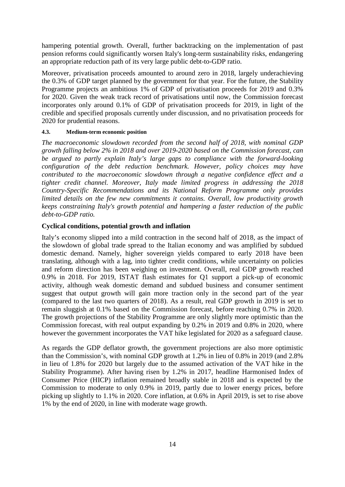hampering potential growth. Overall, further backtracking on the implementation of past pension reforms could significantly worsen Italy's long-term sustainability risks, endangering an appropriate reduction path of its very large public debt-to-GDP ratio.

Moreover, privatisation proceeds amounted to around zero in 2018, largely underachieving the 0.3% of GDP target planned by the government for that year. For the future, the Stability Programme projects an ambitious 1% of GDP of privatisation proceeds for 2019 and 0.3% for 2020. Given the weak track record of privatisations until now, the Commission forecast incorporates only around 0.1% of GDP of privatisation proceeds for 2019, in light of the credible and specified proposals currently under discussion, and no privatisation proceeds for 2020 for prudential reasons.

# **4.3. Medium-term economic position**

*The macroeconomic slowdown recorded from the second half of 2018, with nominal GDP growth falling below 2% in 2018 and over 2019-2020 based on the Commission forecast, can be argued to partly explain Italy's large gaps to compliance with the forward-looking configuration of the debt reduction benchmark. However, policy choices may have contributed to the macroeconomic slowdown through a negative confidence effect and a tighter credit channel. Moreover, Italy made limited progress in addressing the 2018 Country-Specific Recommendations and its National Reform Programme only provides limited details on the few new commitments it contains. Overall, low productivity growth keeps constraining Italy's growth potential and hampering a faster reduction of the public debt-to-GDP ratio.*

# **Cyclical conditions, potential growth and inflation**

Italy's economy slipped into a mild contraction in the second half of 2018, as the impact of the slowdown of global trade spread to the Italian economy and was amplified by subdued domestic demand. Namely, higher sovereign yields compared to early 2018 have been translating, although with a lag, into tighter credit conditions, while uncertainty on policies and reform direction has been weighing on investment. Overall, real GDP growth reached 0.9% in 2018. For 2019, ISTAT flash estimates for Q1 support a pick-up of economic activity, although weak domestic demand and subdued business and consumer sentiment suggest that output growth will gain more traction only in the second part of the year (compared to the last two quarters of 2018). As a result, real GDP growth in 2019 is set to remain sluggish at 0.1% based on the Commission forecast, before reaching 0.7% in 2020. The growth projections of the Stability Programme are only slightly more optimistic than the Commission forecast, with real output expanding by 0.2% in 2019 and 0.8% in 2020, where however the government incorporates the VAT hike legislated for 2020 as a safeguard clause.

As regards the GDP deflator growth, the government projections are also more optimistic than the Commission's, with nominal GDP growth at 1.2% in lieu of 0.8% in 2019 (and 2.8% in lieu of 1.8% for 2020 but largely due to the assumed activation of the VAT hike in the Stability Programme). After having risen by 1.2% in 2017, headline Harmonised Index of Consumer Price (HICP) inflation remained broadly stable in 2018 and is expected by the Commission to moderate to only 0.9% in 2019, partly due to lower energy prices, before picking up slightly to 1.1% in 2020. Core inflation, at 0.6% in April 2019, is set to rise above 1% by the end of 2020, in line with moderate wage growth.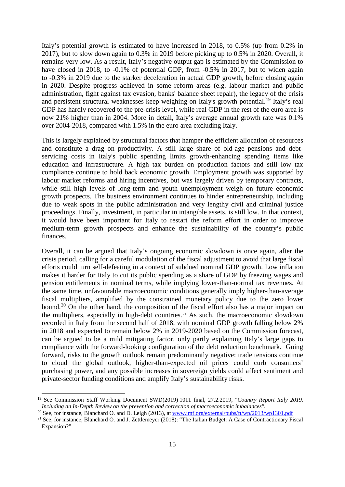Italy's potential growth is estimated to have increased in 2018, to 0.5% (up from 0.2% in 2017), but to slow down again to 0.3% in 2019 before picking up to 0.5% in 2020. Overall, it remains very low. As a result, Italy's negative output gap is estimated by the Commission to have closed in 2018, to -0.1% of potential GDP, from -0.5% in 2017, but to widen again to -0.3% in 2019 due to the starker deceleration in actual GDP growth, before closing again in 2020. Despite progress achieved in some reform areas (e.g. labour market and public administration, fight against tax evasion, banks' balance sheet repair), the legacy of the crisis and persistent structural weaknesses keep weighing on Italy's growth potential.<sup>[19](#page-15-0)</sup> Italy's real GDP has hardly recovered to the pre-crisis level, while real GDP in the rest of the euro area is now 21% higher than in 2004. More in detail, Italy's average annual growth rate was 0.1% over 2004-2018, compared with 1.5% in the euro area excluding Italy.

This is largely explained by structural factors that hamper the efficient allocation of resources and constitute a drag on productivity. A still large share of old-age pensions and debtservicing costs in Italy's public spending limits growth-enhancing spending items like education and infrastructure. A high tax burden on production factors and still low tax compliance continue to hold back economic growth. Employment growth was supported by labour market reforms and hiring incentives, but was largely driven by temporary contracts, while still high levels of long-term and youth unemployment weigh on future economic growth prospects. The business environment continues to hinder entrepreneurship, including due to weak spots in the public administration and very lengthy civil and criminal justice proceedings. Finally, investment, in particular in intangible assets, is still low. In that context, it would have been important for Italy to restart the reform effort in order to improve medium-term growth prospects and enhance the sustainability of the country's public finances.

Overall, it can be argued that Italy's ongoing economic slowdown is once again, after the crisis period, calling for a careful modulation of the fiscal adjustment to avoid that large fiscal efforts could turn self-defeating in a context of subdued nominal GDP growth. Low inflation makes it harder for Italy to cut its public spending as a share of GDP by freezing wages and pension entitlements in nominal terms, while implying lower-than-normal tax revenues. At the same time, unfavourable macroeconomic conditions generally imply higher-than-average fiscal multipliers, amplified by the constrained monetary policy due to the zero lower bound.<sup>[20](#page-15-1)</sup> On the other hand, the composition of the fiscal effort also has a major impact on the multipliers, especially in high-debt countries.<sup>[21](#page-15-2)</sup> As such, the macroeconomic slowdown recorded in Italy from the second half of 2018, with nominal GDP growth falling below 2% in 2018 and expected to remain below 2% in 2019-2020 based on the Commission forecast, can be argued to be a mild mitigating factor, only partly explaining Italy's large gaps to compliance with the forward-looking configuration of the debt reduction benchmark. Going forward, risks to the growth outlook remain predominantly negative: trade tensions continue to cloud the global outlook, higher-than-expected oil prices could curb consumers' purchasing power, and any possible increases in sovereign yields could affect sentiment and private-sector funding conditions and amplify Italy's sustainability risks.

<span id="page-15-0"></span> <sup>19</sup> See Commission Staff Working Document SWD(2019) 1011 final, 27.2.2019, "*Country Report Italy 2019. Including an In-Depth Review on the prevention and correction of macroeconomic imbalances".*

<span id="page-15-1"></span><sup>&</sup>lt;sup>20</sup> See, for instance, Blanchard O. and D. Leigh (2013), a[t www.imf.org/external/pubs/ft/wp/2013/wp1301.pdf](http://www.imf.org/external/pubs/ft/wp/2013/wp1301.pdf)

<span id="page-15-2"></span> $21$  See, for instance, Blanchard O. and J. Zettlemeyer (2018): "The Italian Budget: A Case of Contractionary Fiscal Expansion?"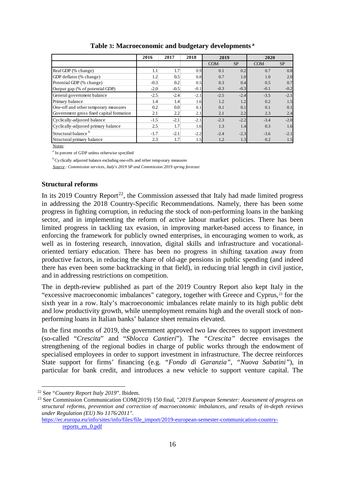|                                          | 2016   | 2017             | 2018   | 2019       |           | 2020       |           |
|------------------------------------------|--------|------------------|--------|------------|-----------|------------|-----------|
|                                          |        |                  |        | <b>COM</b> | <b>SP</b> | <b>COM</b> | <b>SP</b> |
| Real GDP (% change)                      | 1.1    | 1.7              | 0.9    | 0.1        | 0.2       | 0.7        | 0.8       |
| GDP deflator (% change)                  | 1.2    | 0.5              | 0.8    | 0.7        | 1.0       | 1.0        | 2.0       |
| Potential GDP (% change)                 | $-0.3$ | 0.2              | 0.5    | 0.3        | 0.4       | 0.5        | 0.7       |
| Output gap (% of potential GDP)          | $-2.0$ | $-0.5$           | $-0.1$ | $-0.3$     | $-0.3$    | $-0.1$     | $-0.2$    |
| General government balance               | $-2.5$ | $-2.4$           | $-2.1$ | $-2.5$     | $-2.4$    | $-3.5$     | $-2.1$    |
| Primary balance                          | 1.4    | 1.4              | 1.6    | 1.2        | 1.2       | 0.2        | 1.5       |
| One-off and other temporary measures     | 0.2    | 0.0 <sub>1</sub> | 0.1    | 0.1        | 0.1       | 0.1        | 0.1       |
| Government gross fixed capital formation | 2.1    | 2.2              | 2.1    | 2.1        | 2.2       | 2.3        | 2.4       |
| Cyclically-adjusted balance              | $-1.5$ | $-2.1$           | $-2.1$ | $-2.3$     | $-2.2$    | $-3.4$     | $-2.0$    |
| Cyclically-adjusted primary balance      | 2.5    | 1.7              | 1.6    | 1.3        | 1.4       | 0.3        | 1.6       |
| Structural balance <sup>b</sup>          | $-1.7$ | $-2.1$           | $-2.2$ | $-2.4$     | $-2.3$    | $-3.6$     | $-2.1$    |
| Structural primary balance               | 2.3    | 1.7              | 1.5    | 1.2        | 1.3       | 0.2        | 1.5       |

#### **Table 3: Macroeconomic and budgetary developments <sup>a</sup>**

Notes:

<sup>a</sup> In percent of GDP unless otherwise specified

<sup>b</sup> Cyclically adjusted balance excluding one-offs and other temporary measures

*Source : Commission services, Italy's 2019 SP and Commission 2019 spring forecast*

# **Structural reforms**

In its 2019 Country Report<sup>22</sup>, the Commission assessed that Italy had made limited progress in addressing the 2018 Country-Specific Recommendations. Namely, there has been some progress in fighting corruption, in reducing the stock of non-performing loans in the banking sector, and in implementing the reform of active labour market policies. There has been limited progress in tackling tax evasion, in improving market-based access to finance, in enforcing the framework for publicly owned enterprises, in encouraging women to work, as well as in fostering research, innovation, digital skills and infrastructure and vocationaloriented tertiary education. There has been no progress in shifting taxation away from productive factors, in reducing the share of old-age pensions in public spending (and indeed there has even been some backtracking in that field), in reducing trial length in civil justice, and in addressing restrictions on competition.

The in depth-review published as part of the 2019 Country Report also kept Italy in the "excessive macroeconomic imbalances" category, together with Greece and Cyprus,[23](#page-16-1) for the sixth year in a row. Italy's macroeconomic imbalances relate mainly to its high public debt and low productivity growth, while unemployment remains high and the overall stock of nonperforming loans in Italian banks' balance sheet remains elevated.

In the first months of 2019, the government approved two law decrees to support investment (so-called "*Crescita*" and "*Sblocca Cantieri*"). The *"Crescita"* decree envisages the strengthening of the regional bodies in charge of public works through the endowment of specialised employees in order to support investment in infrastructure. The decree reinforces State support for firms' financing (e.g. *"Fondo di Garanzia"*, *"Nuova Sabatini"*), in particular for bank credit, and introduces a new vehicle to support venture capital. The

[https://ec.europa.eu/info/sites/info/files/file\\_import/2019-european-semester-communication-country](https://ec.europa.eu/info/sites/info/files/file_import/2019-european-semester-communication-country-reports_en_0.pdf)[reports\\_en\\_0.pdf](https://ec.europa.eu/info/sites/info/files/file_import/2019-european-semester-communication-country-reports_en_0.pdf)

<span id="page-16-0"></span> <sup>22</sup> See "*Country Report Italy 2019*". Ibidem.

<span id="page-16-1"></span><sup>23</sup> See Commission Communication COM(2019) 150 final, "*2019 European Semester: Assessment of progress on structural reforms, prevention and correction of macroeconomic imbalances, and results of in-depth reviews under Regulation (EU) No 1176/2011"*.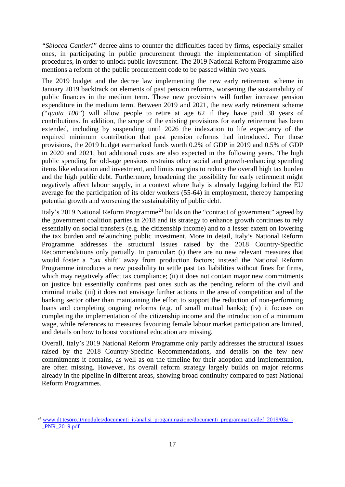*"Sblocca Cantieri"* decree aims to counter the difficulties faced by firms, especially smaller ones, in participating in public procurement through the implementation of simplified procedures, in order to unlock public investment. The 2019 National Reform Programme also mentions a reform of the public procurement code to be passed within two years.

The 2019 budget and the decree law implementing the new early retirement scheme in January 2019 backtrack on elements of past pension reforms, worsening the sustainability of public finances in the medium term. Those new provisions will further increase pension expenditure in the medium term. Between 2019 and 2021, the new early retirement scheme *("quota 100"*) will allow people to retire at age 62 if they have paid 38 years of contributions. In addition, the scope of the existing provisions for early retirement has been extended, including by suspending until 2026 the indexation to life expectancy of the required minimum contribution that past pension reforms had introduced. For those provisions, the 2019 budget earmarked funds worth 0.2% of GDP in 2019 and 0.5% of GDP in 2020 and 2021, but additional costs are also expected in the following years. The high public spending for old-age pensions restrains other social and growth-enhancing spending items like education and investment, and limits margins to reduce the overall high tax burden and the high public debt. Furthermore, broadening the possibility for early retirement might negatively affect labour supply, in a context where Italy is already lagging behind the EU average for the participation of its older workers (55-64) in employment, thereby hampering potential growth and worsening the sustainability of public debt.

Italy's 2019 National Reform Programme<sup>[24](#page-17-0)</sup> builds on the "contract of government" agreed by the government coalition parties in 2018 and its strategy to enhance growth continues to rely essentially on social transfers (e.g. the citizenship income) and to a lesser extent on lowering the tax burden and relaunching public investment. More in detail, Italy's National Reform Programme addresses the structural issues raised by the 2018 Country-Specific Recommendations only partially. In particular: (i) there are no new relevant measures that would foster a "tax shift" away from production factors; instead the National Reform Programme introduces a new possibility to settle past tax liabilities without fines for firms, which may negatively affect tax compliance; (ii) it does not contain major new commitments on justice but essentially confirms past ones such as the pending reform of the civil and criminal trials; (iii) it does not envisage further actions in the area of competition and of the banking sector other than maintaining the effort to support the reduction of non-performing loans and completing ongoing reforms (e.g. of small mutual banks); (iv) it focuses on completing the implementation of the citizenship income and the introduction of a minimum wage, while references to measures favouring female labour market participation are limited, and details on how to boost vocational education are missing.

Overall, Italy's 2019 National Reform Programme only partly addresses the structural issues raised by the 2018 Country-Specific Recommendations, and details on the few new commitments it contains, as well as on the timeline for their adoption and implementation, are often missing. However, its overall reform strategy largely builds on major reforms already in the pipeline in different areas, showing broad continuity compared to past National Reform Programmes.

<span id="page-17-0"></span><sup>&</sup>lt;sup>24</sup> [www.dt.tesoro.it/modules/documenti\\_it/analisi\\_progammazione/documenti\\_programmatici/def\\_2019/03a\\_-](http://www.dt.tesoro.it/modules/documenti_it/analisi_progammazione/documenti_programmatici/def_2019/03a_-_PNR_2019.pdf) [\\_PNR\\_2019.pdf](http://www.dt.tesoro.it/modules/documenti_it/analisi_progammazione/documenti_programmatici/def_2019/03a_-_PNR_2019.pdf)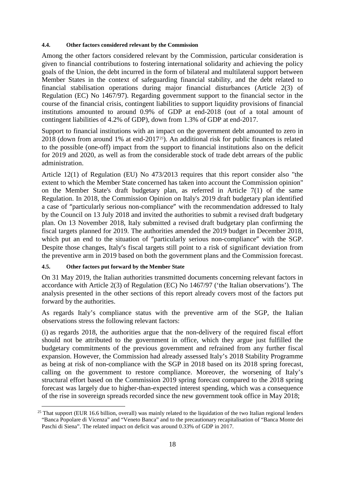#### **4.4. Other factors considered relevant by the Commission**

Among the other factors considered relevant by the Commission, particular consideration is given to financial contributions to fostering international solidarity and achieving the policy goals of the Union, the debt incurred in the form of bilateral and multilateral support between Member States in the context of safeguarding financial stability, and the debt related to financial stabilisation operations during major financial disturbances (Article 2(3) of Regulation (EC) No 1467/97). Regarding government support to the financial sector in the course of the financial crisis, contingent liabilities to support liquidity provisions of financial institutions amounted to around 0.9% of GDP at end-2018 (out of a total amount of contingent liabilities of 4.2% of GDP), down from 1.3% of GDP at end-2017.

Support to financial institutions with an impact on the government debt amounted to zero in 2018 (down from around 1% at end-2017<sup>[25](#page-18-0)</sup>). An additional risk for public finances is related to the possible (one-off) impact from the support to financial institutions also on the deficit for 2019 and 2020, as well as from the considerable stock of trade debt arrears of the public administration.

Article 12(1) of Regulation (EU) No 473/2013 requires that this report consider also "the extent to which the Member State concerned has taken into account the Commission opinion" on the Member State's draft budgetary plan, as referred in Article 7(1) of the same Regulation. In 2018, the Commission Opinion on Italy's 2019 draft budgetary plan identified a case of "particularly serious non-compliance" with the recommendation addressed to Italy by the Council on 13 July 2018 and invited the authorities to submit a revised draft budgetary plan. On 13 November 2018, Italy submitted a revised draft budgetary plan confirming the fiscal targets planned for 2019. The authorities amended the 2019 budget in December 2018, which put an end to the situation of "particularly serious non-compliance" with the SGP. Despite those changes, Italy's fiscal targets still point to a risk of significant deviation from the preventive arm in 2019 based on both the government plans and the Commission forecast.

# **4.5. Other factors put forward by the Member State**

On 31 May 2019, the Italian authorities transmitted documents concerning relevant factors in accordance with Article 2(3) of Regulation (EC) No 1467/97 ('the Italian observations'). The analysis presented in the other sections of this report already covers most of the factors put forward by the authorities.

As regards Italy's compliance status with the preventive arm of the SGP, the Italian observations stress the following relevant factors:

(i) as regards 2018, the authorities argue that the non-delivery of the required fiscal effort should not be attributed to the government in office, which they argue just fulfilled the budgetary commitments of the previous government and refrained from any further fiscal expansion. However, the Commission had already assessed Italy's 2018 Stability Programme as being at risk of non-compliance with the SGP in 2018 based on its 2018 spring forecast, calling on the government to restore compliance. Moreover, the worsening of Italy's structural effort based on the Commission 2019 spring forecast compared to the 2018 spring forecast was largely due to higher-than-expected interest spending, which was a consequence of the rise in sovereign spreads recorded since the new government took office in May 2018;

<span id="page-18-0"></span> $^{25}$  That support (EUR 16.6 billion, overall) was mainly related to the liquidation of the two Italian regional lenders "Banca Popolare di Vicenza" and "Veneto Banca" and to the precautionary recapitalisation of "Banca Monte dei Paschi di Siena". The related impact on deficit was around 0.33% of GDP in 2017.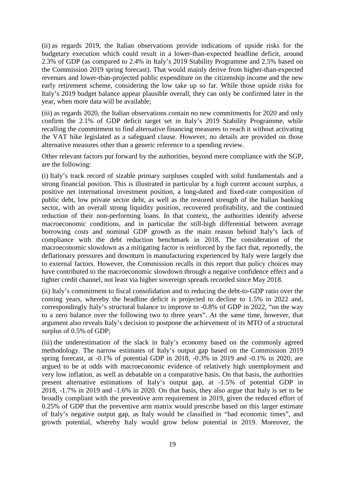(ii) as regards 2019, the Italian observations provide indications of upside risks for the budgetary execution which could result in a lower-than-expected headline deficit, around 2.3% of GDP (as compared to 2.4% in Italy's 2019 Stability Programme and 2.5% based on the Commission 2019 spring forecast). That would mainly derive from higher-than-expected revenues and lower-than-projected public expenditure on the citizenship income and the new early retirement scheme, considering the low take up so far. While those upside risks for Italy's 2019 budget balance appear plausible overall, they can only be confirmed later in the year, when more data will be available;

(iii) as regards 2020, the Italian observations contain no new commitments for 2020 and only confirm the 2.1% of GDP deficit target set in Italy's 2019 Stability Programme, while recalling the commitment to find alternative financing measures to reach it without activating the VAT hike legislated as a safeguard clause. However, no details are provided on those alternative measures other than a generic reference to a spending review.

Other relevant factors put forward by the authorities, beyond mere compliance with the SGP, are the following:

(i) Italy's track record of sizable primary surpluses coupled with solid fundamentals and a strong financial position. This is illustrated in particular by a high current account surplus, a positive net international investment position, a long-dated and fixed-rate composition of public debt, low private sector debt, as well as the restored strength of the Italian banking sector, with an overall strong liquidity position, recovered profitability, and the continued reduction of their non-performing loans. In that context, the authorities identify adverse macroeconomic conditions, and in particular the still-high differential between average borrowing costs and nominal GDP growth as the main reason behind Italy's lack of compliance with the debt reduction benchmark in 2018. The consideration of the macroeconomic slowdown as a mitigating factor is reinforced by the fact that, reportedly, the deflationary pressures and downturn in manufacturing experienced by Italy were largely due to external factors. However, the Commission recalls in this report that policy choices may have contributed to the macroeconomic slowdown through a negative confidence effect and a tighter credit channel, not least via higher sovereign spreads recorded since May 2018.

(ii) Italy's commitment to fiscal consolidation and to reducing the debt-to-GDP ratio over the coming years, whereby the headline deficit is projected to decline to 1.5% in 2022 and, correspondingly Italy's structural balance to improve to -0.8% of GDP in 2022, "on the way to a zero balance over the following two to three years". At the same time, however, that argument also reveals Italy's decision to postpone the achievement of its MTO of a structural surplus of 0.5% of GDP;

(iii) the underestimation of the slack in Italy's economy based on the commonly agreed methodology. The narrow estimates of Italy's output gap based on the Commission 2019 spring forecast, at -0.1% of potential GDP in 2018, -0.3% in 2019 and -0.1% in 2020, are argued to be at odds with macroeconomic evidence of relatively high unemployment and very low inflation, as well as debatable on a comparative basis. On that basis, the authorities present alternative estimations of Italy's output gap, at -1.5% of potential GDP in 2018, -1.7% in 2019 and -1.6% in 2020. On that basis, they also argue that Italy is set to be broadly compliant with the preventive arm requirement in 2019, given the reduced effort of 0.25% of GDP that the preventive arm matrix would prescribe based on this larger estimate of Italy's negative output gap, as Italy would be classified in "bad economic times", and growth potential, whereby Italy would grow below potential in 2019. Moreover, the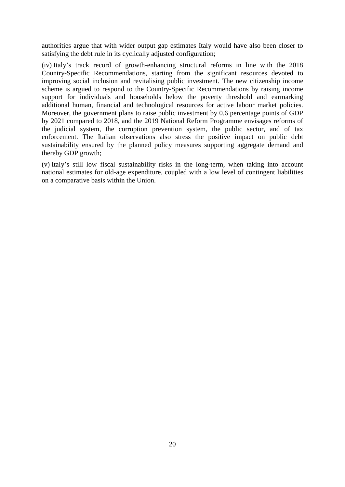authorities argue that with wider output gap estimates Italy would have also been closer to satisfying the debt rule in its cyclically adjusted configuration;

(iv) Italy's track record of growth-enhancing structural reforms in line with the 2018 Country-Specific Recommendations, starting from the significant resources devoted to improving social inclusion and revitalising public investment. The new citizenship income scheme is argued to respond to the Country-Specific Recommendations by raising income support for individuals and households below the poverty threshold and earmarking additional human, financial and technological resources for active labour market policies. Moreover, the government plans to raise public investment by 0.6 percentage points of GDP by 2021 compared to 2018, and the 2019 National Reform Programme envisages reforms of the judicial system, the corruption prevention system, the public sector, and of tax enforcement. The Italian observations also stress the positive impact on public debt sustainability ensured by the planned policy measures supporting aggregate demand and thereby GDP growth;

(v) Italy's still low fiscal sustainability risks in the long-term, when taking into account national estimates for old-age expenditure, coupled with a low level of contingent liabilities on a comparative basis within the Union.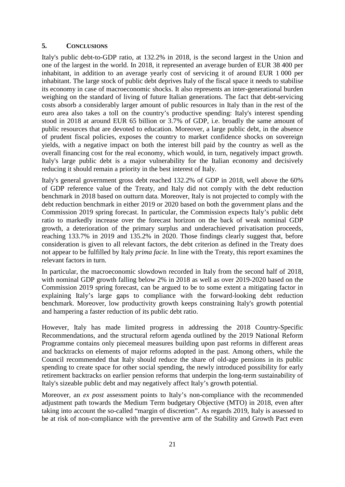# **5. CONCLUSIONS**

Italy's public debt-to-GDP ratio, at 132.2% in 2018, is the second largest in the Union and one of the largest in the world. In 2018, it represented an average burden of EUR 38 400 per inhabitant, in addition to an average yearly cost of servicing it of around EUR 1 000 per inhabitant. The large stock of public debt deprives Italy of the fiscal space it needs to stabilise its economy in case of macroeconomic shocks. It also represents an inter-generational burden weighing on the standard of living of future Italian generations. The fact that debt-servicing costs absorb a considerably larger amount of public resources in Italy than in the rest of the euro area also takes a toll on the country's productive spending: Italy's interest spending stood in 2018 at around EUR 65 billion or 3.7% of GDP, i.e. broadly the same amount of public resources that are devoted to education. Moreover, a large public debt, in the absence of prudent fiscal policies, exposes the country to market confidence shocks on sovereign yields, with a negative impact on both the interest bill paid by the country as well as the overall financing cost for the real economy, which would, in turn, negatively impact growth. Italy's large public debt is a major vulnerability for the Italian economy and decisively reducing it should remain a priority in the best interest of Italy.

Italy's general government gross debt reached 132.2% of GDP in 2018, well above the 60% of GDP reference value of the Treaty, and Italy did not comply with the debt reduction benchmark in 2018 based on outturn data. Moreover, Italy is not projected to comply with the debt reduction benchmark in either 2019 or 2020 based on both the government plans and the Commission 2019 spring forecast. In particular, the Commission expects Italy's public debt ratio to markedly increase over the forecast horizon on the back of weak nominal GDP growth, a deterioration of the primary surplus and underachieved privatisation proceeds, reaching 133.7% in 2019 and 135.2% in 2020. Those findings clearly suggest that, before consideration is given to all relevant factors, the debt criterion as defined in the Treaty does not appear to be fulfilled by Italy *prima facie*. In line with the Treaty, this report examines the relevant factors in turn.

In particular, the macroeconomic slowdown recorded in Italy from the second half of 2018, with nominal GDP growth falling below 2% in 2018 as well as over 2019-2020 based on the Commission 2019 spring forecast, can be argued to be to some extent a mitigating factor in explaining Italy's large gaps to compliance with the forward-looking debt reduction benchmark. Moreover, low productivity growth keeps constraining Italy's growth potential and hampering a faster reduction of its public debt ratio.

However, Italy has made limited progress in addressing the 2018 Country-Specific Recommendations, and the structural reform agenda outlined by the 2019 National Reform Programme contains only piecemeal measures building upon past reforms in different areas and backtracks on elements of major reforms adopted in the past. Among others, while the Council recommended that Italy should reduce the share of old-age pensions in its public spending to create space for other social spending, the newly introduced possibility for early retirement backtracks on earlier pension reforms that underpin the long-term sustainability of Italy's sizeable public debt and may negatively affect Italy's growth potential.

Moreover, an *ex post* assessment points to Italy's non-compliance with the recommended adjustment path towards the Medium Term budgetary Objective (MTO) in 2018, even after taking into account the so-called "margin of discretion". As regards 2019, Italy is assessed to be at risk of non-compliance with the preventive arm of the Stability and Growth Pact even